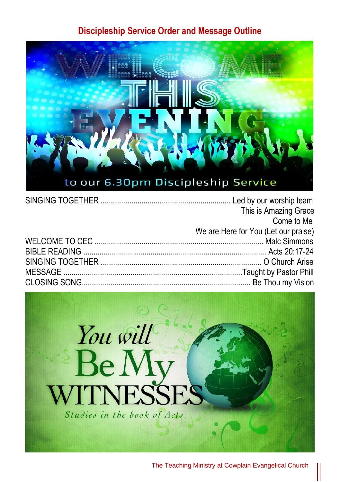## **Discipleship Service Order and Message Outline**



| This is Amazing Grace                |
|--------------------------------------|
| Come to Me                           |
| We are Here for You (Let our praise) |
|                                      |
|                                      |
|                                      |
|                                      |
|                                      |



The Teaching Ministry at Cowplain Evangelical Church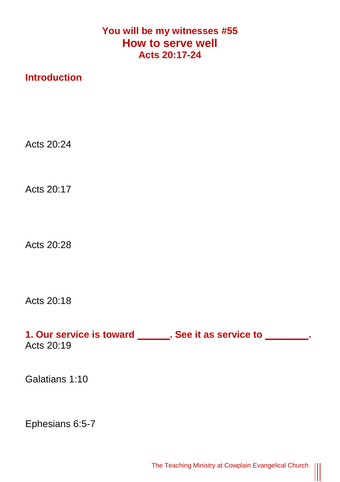## **You will be my witnesses #55 How to serve well Acts 20:17-24**

## **Introduction**

Acts  $20.24$ 

Acts 20:17

Acts 20:28

Acts 20:18

**1. Our service is toward \_\_\_\_\_\_. See it as service to \_\_\_\_\_\_\_\_.**  Acts 20:19

Galatians 1:10

Ephesians 6:5-7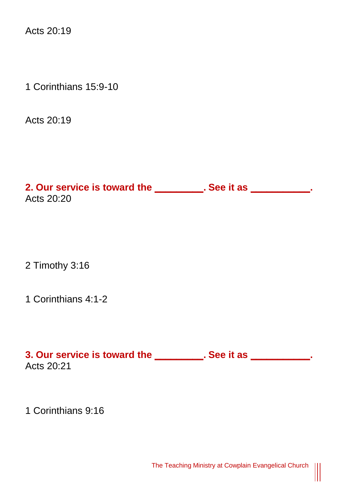Acts 20:19

1 Corinthians 15:9-10

Acts 20:19

**2. Our service is toward the \_\_\_\_\_\_\_\_\_. See it as \_\_\_\_\_\_\_\_\_\_\_.**  Acts  $20.20$ 

2 Timothy 3:16

1 Corinthians 4:1-2

**3. Our service is toward the \_\_\_\_\_\_\_\_\_. See it as \_\_\_\_\_\_\_\_\_\_\_.**  Acts 20:21

1 Corinthians 9:16